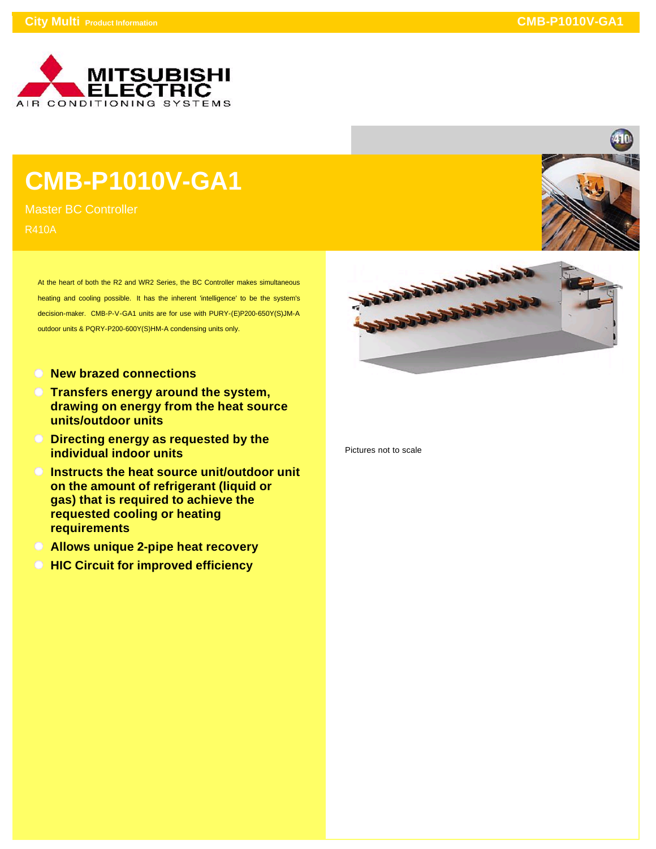

## **CMB-P1010V-GA1**

Master BC Controller R410A

> At the heart of both the R2 and WR2 Series, the BC Controller makes simultaneous heating and cooling possible. It has the inherent 'intelligence' to be the system's decision-maker. CMB-P-V-GA1 units are for use with PURY-(E)P200-650Y(S)JM-A outdoor units & PQRY-P200-600Y(S)HM-A condensing units only.

- **New brazed connections**
- **Transfers energy around the system, drawing on energy from the heat source units/outdoor units**
- **Directing energy as requested by the individual indoor units**
- **Instructs the heat source unit/outdoor unit on the amount of refrigerant (liquid or gas) that is required to achieve the requested cooling or heating requirements**
- **Allows unique 2-pipe heat recovery**
- **HIC Circuit for improved efficiency**





Pictures not to scale